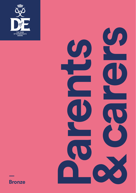



### **Bronze**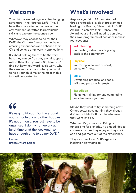## **Welcome**

Your child is embarking on a life-changing adventure – their Bronze DofE. They'll have the chance to help others or the environment, get fitter, learn valuable skills and explore the countryside.

Whatever they choose to do for their DofE, they'll make friends for life, have amazing experiences and enhance their CV and college or university applications.

It's about helping them to be the very best they can be. You play a vital support role in their DofE journey. So, here, you'll find out how the Award levels work, why they are important and what you can do to help your child make the most of this fantastic opportunity.

# $66$

It's easy to fit your DofE in around your schoolwork and other hobbies. It's not difficult. You just have to be organised. I do my homework at lunchtime or at the weekend, so I have enough time to do my DofE."

**Lavine** Bronze Award holder

## **What's involved**

Anyone aged 14 to 24 can take part in three progressive levels of programmes leading to a Bronze, Silver or Gold DofE Award. To achieve their Bronze DofE Award, your child will need to complete their own programme of activities in these four sections:

### **Volunteering**

Supporting individuals or giving back to the community.

### **Physical**

Improving in an area of sport, dance or fitness.

#### **Skills**

Developing practical and social skills and personal interests.

### **Expedition**

Planning, training for and completing an adventurous journey.

Maybe they want to try something new? Or get better at something they already do? Your child's DofE can be whatever they want it to be.

Whether it's gymnastics, DJing or fundraising for a charity, it's a good idea to choose activities they enjoy so they stick at it and get more out of the experience.

They can check out **DofE.org/do** for inspiration on what to do.

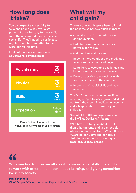## **How long does it take?**

You can expect each activity to take one hour a week over a set period of time. It's easy for your child to fit them in around their studies and social life. They'll need to participate regularly and be committed to their DofE during this time.

#### Find out more about timescales at **DofE.org/do/timescales**.

| <b>Volunteering</b> | 3<br>months       |
|---------------------|-------------------|
| <b>Physical</b>     | months            |
| <b>Skills</b>       | 3<br>months       |
| <b>Expedition</b>   | 2 days<br>1 night |

Plus a further **3 months** in the Volunteering, Physical or Skills section

## **What will my child gain?**

There's not enough space here to list all the benefits so here's a quick snapshot:

- Open doors to further education or employment.
- Help to make their community a better place to live.
- Get healthier and happier.
- Become more confident and motivated to succeed at school and beyond.
- Learn how to overcome challenges and be more self-sufficient and resilient.
- Develop positive relationships with teachers outside of the classroom.
- Improve their social skills and make new friends.

The DofE has already helped millions of young people to learn, grow and stand out from the crowd in college, university and job applications – now it's your child's turn.

See what top UK employers say about the DofE at **DofE.org/lifezone**.

Who better to tell you about the DofE than other parents and young people who are already involved? Watch Bronze Award holder Carys and her proud dad chat about her DofE journey at **DofE.org/Bronze-parent.**

# $AC$

Work-ready attributes are all about communication skills, the ability to work with other people, continuous learning, and giving something back into society."

**Paula Stannett** Chief People Officer, Heathrow Airport Ltd. and DofE supporter